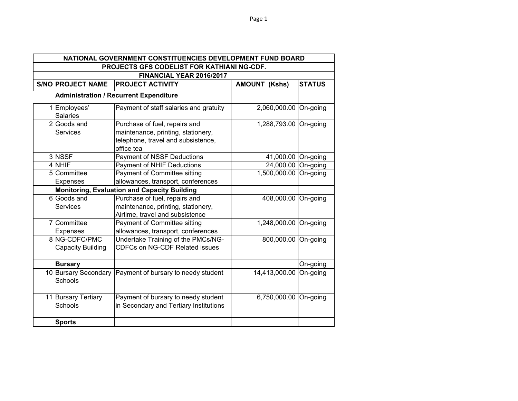|                                                   |                                    | NATIONAL GOVERNMENT CONSTITUENCIES DEVELOPMENT FUND BOARD                                                               |                       |               |
|---------------------------------------------------|------------------------------------|-------------------------------------------------------------------------------------------------------------------------|-----------------------|---------------|
| <b>PROJECTS GFS CODELIST FOR KATHIANI NG-CDF.</b> |                                    |                                                                                                                         |                       |               |
|                                                   |                                    | FINANCIAL YEAR 2016/2017                                                                                                |                       |               |
|                                                   | <b>S/NO PROJECT NAME</b>           | <b>PROJECT ACTIVITY</b>                                                                                                 | <b>AMOUNT (Kshs)</b>  | <b>STATUS</b> |
|                                                   |                                    | <b>Administration / Recurrent Expenditure</b>                                                                           |                       |               |
|                                                   | 1 Employees'<br><b>Salaries</b>    | Payment of staff salaries and gratuity                                                                                  | 2,060,000.00 On-going |               |
|                                                   | 2 Goods and<br><b>Services</b>     | Purchase of fuel, repairs and<br>maintenance, printing, stationery,<br>telephone, travel and subsistence,<br>office tea | 1,288,793.00 On-going |               |
|                                                   | 3 NSSF                             | Payment of NSSF Deductions                                                                                              | 41,000.00 On-going    |               |
|                                                   | 4 NHIF                             | Payment of NHIF Deductions                                                                                              | 24,000.00 On-going    |               |
|                                                   | 5 Committee<br>Expenses            | <b>Payment of Committee sitting</b><br>allowances, transport, conferences                                               | 1,500,000.00 On-going |               |
|                                                   |                                    | <b>Monitoring, Evaluation and Capacity Building</b>                                                                     |                       |               |
|                                                   | 6 Goods and<br><b>Services</b>     | Purchase of fuel, repairs and<br>maintenance, printing, stationery,<br>Airtime, travel and subsistence                  | 408,000.00 On-going   |               |
| 7                                                 | Committee<br>Expenses              | Payment of Committee sitting<br>allowances, transport, conferences                                                      | 1,248,000.00 On-going |               |
|                                                   | 8 NG-CDFC/PMC<br>Capacity Building | Undertake Training of the PMCs/NG-<br><b>CDFCs on NG-CDF Related issues</b>                                             | 800,000.00 On-going   |               |
|                                                   | <b>Bursary</b>                     |                                                                                                                         |                       | On-going      |
|                                                   | 10 Bursary Secondary<br>Schools    | Payment of bursary to needy student                                                                                     | 14,413,000.00         | On-going      |
|                                                   | 11 Bursary Tertiary<br>Schools     | Payment of bursary to needy student<br>in Secondary and Tertiary Institutions                                           | 6,750,000.00 On-going |               |
|                                                   | <b>Sports</b>                      |                                                                                                                         |                       |               |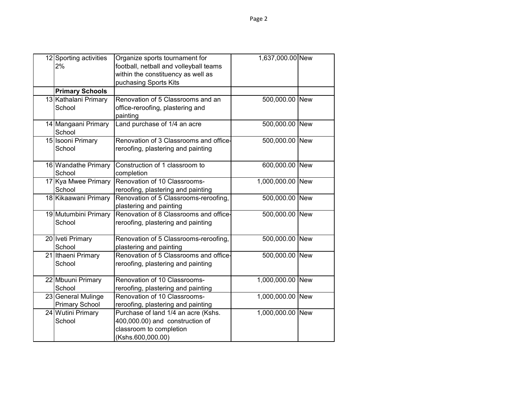| 12 Sporting activities<br>2%                | Organize sports tournament for<br>football, netball and volleyball teams<br>within the constituency as well as         | 1,637,000.00 New |  |
|---------------------------------------------|------------------------------------------------------------------------------------------------------------------------|------------------|--|
|                                             | puchasing Sports Kits                                                                                                  |                  |  |
| <b>Primary Schools</b>                      |                                                                                                                        |                  |  |
| 13 Kathalani Primary<br>School              | Renovation of 5 Classrooms and an<br>office-reroofing, plastering and<br>painting                                      | 500,000.00 New   |  |
| 14 Mangaani Primary<br>School               | Land purchase of 1/4 an acre                                                                                           | 500,000.00 New   |  |
| 15 Isooni Primary<br>School                 | Renovation of 3 Classrooms and office-<br>reroofing, plastering and painting                                           | 500,000.00 New   |  |
| 16 Wandathe Primary<br>School               | Construction of 1 classroom to<br>completion                                                                           | 600,000.00 New   |  |
| 17 Kya Mwee Primary<br>School               | Renovation of 10 Classrooms-<br>reroofing, plastering and painting                                                     | 1,000,000.00 New |  |
| 18 Kikaawani Primary                        | Renovation of 5 Classrooms-reroofing,<br>plastering and painting                                                       | 500,000.00 New   |  |
| 19 Mutumbini Primary<br>School              | Renovation of 8 Classrooms and office-<br>reroofing, plastering and painting                                           | 500,000.00 New   |  |
| 20 Iveti Primary<br>School                  | Renovation of 5 Classrooms-reroofing,<br>plastering and painting                                                       | 500,000.00 New   |  |
| 21 Ithaeni Primary<br>School                | Renovation of 5 Classrooms and office-<br>reroofing, plastering and painting                                           | 500,000.00 New   |  |
| 22 Mbuuni Primary<br>School                 | Renovation of 10 Classrooms-<br>reroofing, plastering and painting                                                     | 1,000,000.00 New |  |
| 23 General Mulinge<br><b>Primary School</b> | Renovation of 10 Classrooms-<br>reroofing, plastering and painting                                                     | 1,000,000.00 New |  |
| 24 Wutini Primary<br>School                 | Purchase of land 1/4 an acre (Kshs.<br>400,000.00) and construction of<br>classroom to completion<br>(Kshs.600,000.00) | 1,000,000.00 New |  |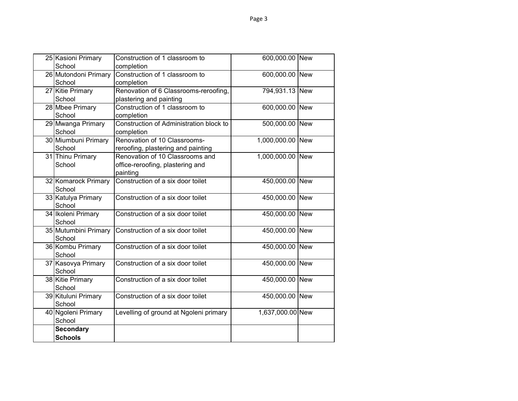| 25 Kasioni Primary<br>School | Construction of 1 classroom to<br>completion | 600,000.00 New   |  |
|------------------------------|----------------------------------------------|------------------|--|
| 26 Mutondoni Primary         | Construction of 1 classroom to               | 600,000.00 New   |  |
|                              |                                              |                  |  |
| School                       | completion                                   |                  |  |
| 27 Kitie Primary             | Renovation of 6 Classrooms-reroofing,        | 794,931.13 New   |  |
| School                       | plastering and painting                      |                  |  |
| 28 Mbee Primary              | Construction of 1 classroom to               | 600,000.00 New   |  |
| School                       | completion                                   |                  |  |
| 29 Mwanga Primary            | Construction of Administration block to      | 500,000.00 New   |  |
| School                       | completion                                   |                  |  |
| 30 Miumbuni Primary          | Renovation of 10 Classrooms-                 | 1,000,000.00 New |  |
| School                       | reroofing, plastering and painting           |                  |  |
| 31 Thinu Primary             | Renovation of 10 Classrooms and              | 1,000,000.00 New |  |
| School                       | office-reroofing, plastering and             |                  |  |
|                              | painting                                     |                  |  |
| 32 Komarock Primary          | Construction of a six door toilet            | 450,000.00 New   |  |
| School                       |                                              |                  |  |
| 33 Katulya Primary           | Construction of a six door toilet            | 450,000.00 New   |  |
| School                       |                                              |                  |  |
| 34 Ikoleni Primary           | Construction of a six door toilet            | 450,000.00 New   |  |
| School                       |                                              |                  |  |
|                              |                                              |                  |  |
| 35 Mutumbini Primary         | Construction of a six door toilet            | 450,000.00 New   |  |
| School                       |                                              |                  |  |
| 36 Kombu Primary             | Construction of a six door toilet            | 450,000.00 New   |  |
| School                       |                                              |                  |  |
| 37 Kasovya Primary           | Construction of a six door toilet            | 450,000.00 New   |  |
| School                       |                                              |                  |  |
| 38 Kitie Primary             | Construction of a six door toilet            | 450,000.00 New   |  |
| School                       |                                              |                  |  |
| 39 Kituluni Primary          | Construction of a six door toilet            | 450,000.00 New   |  |
| School                       |                                              |                  |  |
| 40 Ngoleni Primary           | Levelling of ground at Ngoleni primary       | 1,637,000.00 New |  |
| School                       |                                              |                  |  |
| <b>Secondary</b>             |                                              |                  |  |
| <b>Schools</b>               |                                              |                  |  |
|                              |                                              |                  |  |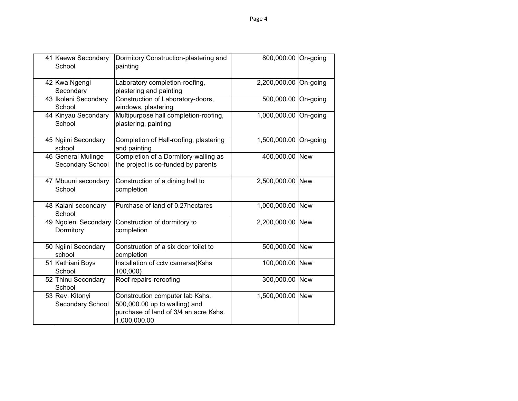| 41 Kaewa Secondary<br>School           | Dormitory Construction-plastering and<br>painting                                                                         | 800,000.00       | On-going |
|----------------------------------------|---------------------------------------------------------------------------------------------------------------------------|------------------|----------|
| 42 Kwa Ngengi<br>Secondary             | Laboratory completion-roofing,<br>plastering and painting                                                                 | 2,200,000.00     | On-going |
| 43 Ikoleni Secondary<br>School         | Construction of Laboratory-doors,<br>windows, plastering                                                                  | 500,000.00       | On-going |
| 44 Kinyau Secondary<br>School          | Multipurpose hall completion-roofing,<br>plastering, painting                                                             | 1,000,000.00     | On-going |
| 45 Ngiini Secondary<br>school          | Completion of Hall-roofing, plastering<br>and painting                                                                    | 1,500,000.00     | On-going |
| 46 General Mulinge<br>Secondary School | Completion of a Dormitory-walling as<br>the project is co-funded by parents                                               | 400,000.00 New   |          |
| 47 Mbuuni secondary<br>School          | Construction of a dining hall to<br>completion                                                                            | 2,500,000.00 New |          |
| 48 Kaiani secondary<br>School          | Purchase of land of 0.27 hectares                                                                                         | 1,000,000.00 New |          |
| 49 Ngoleni Secondary<br>Dormitory      | Construction of dormitory to<br>completion                                                                                | 2,200,000.00 New |          |
| 50 Ngiini Secondary<br>school          | Construction of a six door toilet to<br>completion                                                                        | 500,000.00 New   |          |
| 51 Kathiani Boys<br>School             | Installation of cctv cameras(Kshs<br>100,000)                                                                             | 100,000.00 New   |          |
| 52 Thinu Secondary<br>School           | Roof repairs-reroofing                                                                                                    | 300,000.00 New   |          |
| 53 Rev. Kitonyi<br>Secondary School    | Constrcution computer lab Kshs.<br>500,000.00 up to walling) and<br>purchase of land of 3/4 an acre Kshs.<br>1,000,000.00 | 1,500,000.00 New |          |